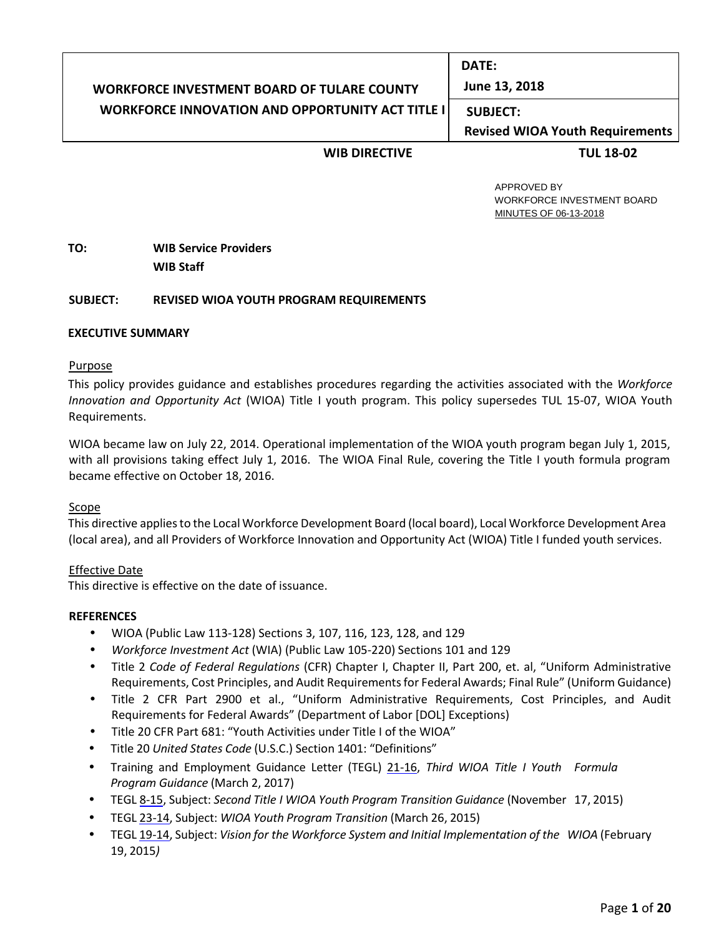#### **WORKFORCE INVESTMENT BOARD OF TULARE COUNTY WORKFORCE INNOVATION AND OPPORTUNITY ACT TITLE I DATE: June 13, 2018 SUBJECT: Revised WIOA Youth Requirements**

## **WIB DIRECTIVE TUL 18-02**

 APPROVED BY WORKFORCE INVESTMENT BOARD MINUTES OF 06-13-2018

# **TO: WIB Service Providers WIB Staff**

### **SUBJECT: REVISED WIOA YOUTH PROGRAM REQUIREMENTS**

### **EXECUTIVE SUMMARY**

#### Purpose

This policy provides guidance and establishes procedures regarding the activities associated with the *Workforce Innovation and Opportunity Act* (WIOA) Title I youth program. This policy supersedes TUL 15-07, WIOA Youth Requirements.

WIOA became law on July 22, 2014. Operational implementation of the WIOA youth program began July 1, 2015, with all provisions taking effect July 1, 2016. The WIOA Final Rule, covering the Title I youth formula program became effective on October 18, 2016.

#### Scope

This directive applies to the Local Workforce Development Board (local board), Local Workforce Development Area (local area), and all Providers of Workforce Innovation and Opportunity Act (WIOA) Title I funded youth services.

#### Effective Date

This directive is effective on the date of issuance.

#### **REFERENCES**

- WIOA (Public Law 113-128) Sections 3, 107, 116, 123, 128, and 129
- *Workforce Investment Act* (WIA) (Public Law 105-220) Sections 101 and 129
- Title 2 *Code of Federal Regulations* (CFR) Chapter I, Chapter II, Part 200, et. al, "Uniform Administrative Requirements, Cost Principles, and Audit Requirements for Federal Awards; Final Rule" (Uniform Guidance)
- Title 2 CFR Part 2900 et al., "Uniform Administrative Requirements, Cost Principles, and Audit Requirements for Federal Awards" (Department of Labor [DOL] Exceptions)
- Title 20 CFR Part 681: "Youth Activities under Title I of the WIOA"
- Title 20 *United States Code* (U.S.C.) Section 1401: "Definitions"
- Training and Employment Guidance Letter (TEGL) [21-16,](https://wdr.doleta.gov/directives/attach/TEGL/TEGL_21-16.pdf) *Third WIOA Title I Youth Formula Program Guidance* (March 2, 2017)
- TEGL [8-15,](https://wdr.doleta.gov/directives/attach/TEGL/TEGL_08-15_Acc.pdf) Subject: *Second Title I WIOA Youth Program Transition Guidance* (November 17, 2015)
- TEGL [23-14,](https://wdr.doleta.gov/directives/attach/TEGL/TEGL_23-14_Acc.pdf) Subject: *WIOA Youth Program Transition* (March 26, 2015)
- TEGL [19-14,](https://wdr.doleta.gov/directives/attach/TEGL/TEGL_19-14_Acc.pdf) Subject: *Vision for the Workforce System and Initial Implementation of the WIOA* (February 19, 2015*)*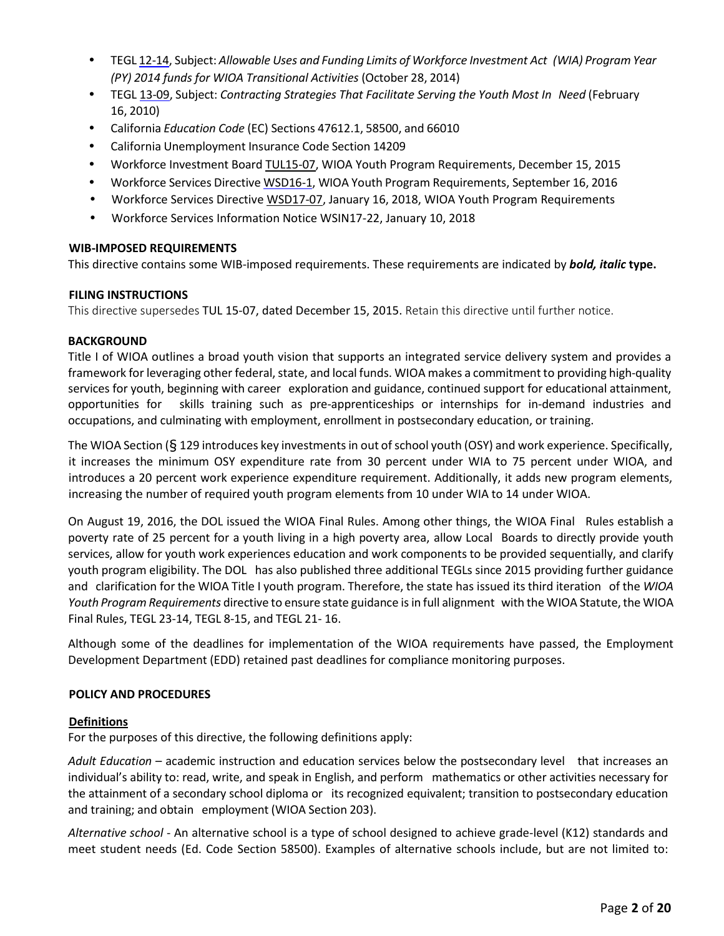- TEGL [12-14,](https://wdr.doleta.gov/directives/attach/TEGL/TEGL-12-14_Acc.pdf) Subject: *Allowable Uses and Funding Limits of Workforce Investment Act (WIA) Program Year (PY) 2014 funds for WIOA Transitional Activities* (October 28, 2014)
- TEGL [13-09,](https://wdr.doleta.gov/directives/attach/TEGL/TEGL13-09acc.pdf) Subject: *Contracting Strategies That Facilitate Serving the Youth Most In Need* (February 16, 2010)
- California *Education Code* (EC) Sections 47612.1, 58500, and 66010
- California Unemployment Insurance Code Section 14209
- Workforce Investment Boar[d TUL15-07,](http://www.tularewib.org/active-directives) WIOA Youth Program Requirements, December 15, 2015
- Workforce Services Directive [WSD16-1,](http://www.edd.ca.gov/Jobs_and_Training/pubs/wsd16-01.pdf) WIOA Youth Program Requirements, September 16, 2016
- Workforce Services Directiv[e WSD17-07,](http://www.edd.ca.gov/Jobs_and_Training/pubs/wsd17-07.pdf) January 16, 2018, WIOA Youth Program Requirements
- Workforce Services Information Notice WSIN17-22, January 10, 2018

## **WIB-IMPOSED REQUIREMENTS**

This directive contains some WIB-imposed requirements. These requirements are indicated by *bold, italic* **type.**

## **FILING INSTRUCTIONS**

This directive supersedes TUL 15-07, dated December 15, 2015. Retain this directive until further notice.

## **BACKGROUND**

Title I of WIOA outlines a broad youth vision that supports an integrated service delivery system and provides a framework for leveraging other federal, state, and local funds. WIOA makes a commitment to providing high-quality services for youth, beginning with career exploration and guidance, continued support for educational attainment, opportunities for skills training such as pre-apprenticeships or internships for in-demand industries and occupations, and culminating with employment, enrollment in postsecondary education, or training.

The WIOA Section (§ 129 introduces key investments in out of school youth (OSY) and work experience. Specifically, it increases the minimum OSY expenditure rate from 30 percent under WIA to 75 percent under WIOA, and introduces a 20 percent work experience expenditure requirement. Additionally, it adds new program elements, increasing the number of required youth program elements from 10 under WIA to 14 under WIOA.

On August 19, 2016, the DOL issued the WIOA Final Rules. Among other things, the WIOA Final Rules establish a poverty rate of 25 percent for a youth living in a high poverty area, allow Local Boards to directly provide youth services, allow for youth work experiences education and work components to be provided sequentially, and clarify youth program eligibility. The DOL has also published three additional TEGLs since 2015 providing further guidance and clarification for the WIOA Title I youth program. Therefore, the state has issued its third iteration of the *WIOA Youth Program Requirements* directive to ensure state guidance is in full alignment with the WIOA Statute, the WIOA Final Rules, TEGL 23-14, TEGL 8-15, and TEGL 21- 16.

Although some of the deadlines for implementation of the WIOA requirements have passed, the Employment Development Department (EDD) retained past deadlines for compliance monitoring purposes.

## **POLICY AND PROCEDURES**

## **Definitions**

For the purposes of this directive, the following definitions apply:

*Adult Education* – academic instruction and education services below the postsecondary level that increases an individual's ability to: read, write, and speak in English, and perform mathematics or other activities necessary for the attainment of a secondary school diploma or its recognized equivalent; transition to postsecondary education and training; and obtain employment (WIOA Section 203).

*Alternative school* - An alternative school is a type of school designed to achieve grade-level (K12) standards and meet student needs (Ed. Code Section 58500). Examples of alternative schools include, but are not limited to: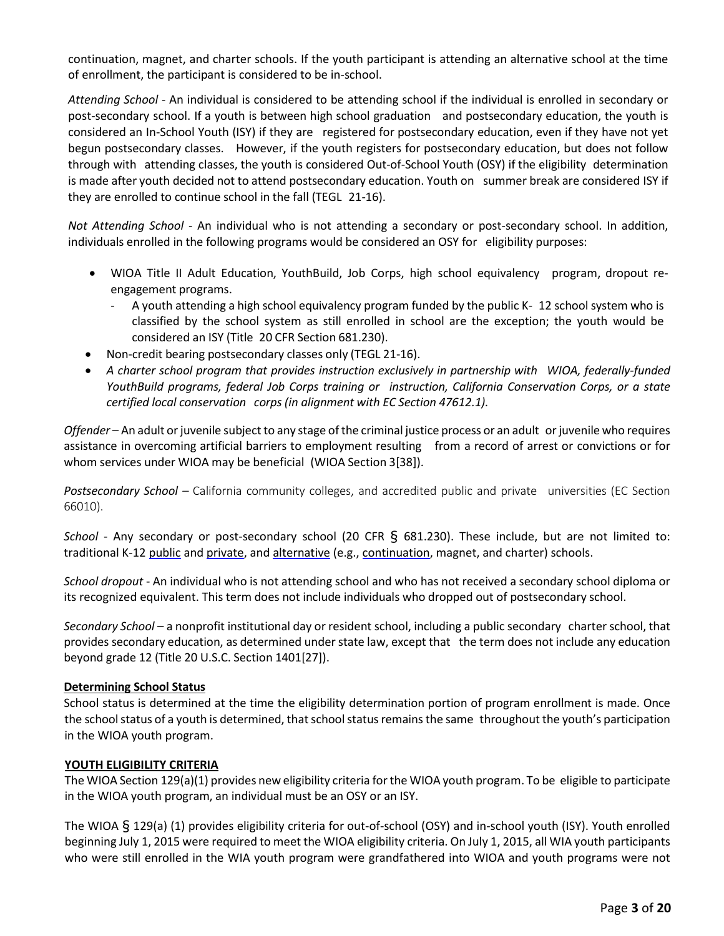continuation, magnet, and charter schools. If the youth participant is attending an alternative school at the time of enrollment, the participant is considered to be in-school.

*Attending School* - An individual is considered to be attending school if the individual is enrolled in secondary or post-secondary school. If a youth is between high school graduation and postsecondary education, the youth is considered an In-School Youth (ISY) if they are registered for postsecondary education, even if they have not yet begun postsecondary classes. However, if the youth registers for postsecondary education, but does not follow through with attending classes, the youth is considered Out-of-School Youth (OSY) if the eligibility determination is made after youth decided not to attend postsecondary education. Youth on summer break are considered ISY if they are enrolled to continue school in the fall (TEGL 21-16).

*Not Attending School* - An individual who is not attending a secondary or post-secondary school. In addition, individuals enrolled in the following programs would be considered an OSY for eligibility purposes:

- WIOA Title II Adult Education, YouthBuild, Job Corps, high school equivalency program, dropout reengagement programs.
	- A youth attending a high school equivalency program funded by the public K- 12 school system who is classified by the school system as still enrolled in school are the exception; the youth would be considered an ISY (Title 20 CFR Section 681.230).
- Non-credit bearing postsecondary classes only (TEGL 21-16).
- *A charter school program that provides instruction exclusively in partnership with WIOA, federally-funded YouthBuild programs, federal Job Corps training or instruction, California Conservation Corps, or a state certified local conservation corps (in alignment with EC Section 47612.1).*

*Offender* – An adult or juvenile subject to any stage of the criminal justice process or an adult or juvenile who requires assistance in overcoming artificial barriers to employment resulting from a record of arrest or convictions or for whom services under WIOA may be beneficial (WIOA Section 3[38]).

*Postsecondary School –* California community colleges, and accredited public and private universities (EC Section 66010).

*School* - Any secondary or post-secondary school (20 CFR § 681.230). These include, but are not limited to: traditional K-12 public and private, and alternative (e.g., continuation, magnet, and charter) schools.

*School dropout* - An individual who is not attending school and who has not received a secondary school diploma or its recognized equivalent. This term does not include individuals who dropped out of postsecondary school.

*Secondary School* – a nonprofit institutional day or resident school, including a public secondary charterschool, that provides secondary education, as determined under state law, except that the term does not include any education beyond grade 12 (Title 20 U.S.C. Section 1401[27]).

# **Determining School Status**

School status is determined at the time the eligibility determination portion of program enrollment is made. Once the school status of a youth is determined, that school status remains the same throughout the youth's participation in the WIOA youth program.

## **YOUTH ELIGIBILITY CRITERIA**

The WIOA Section 129(a)(1) provides new eligibility criteria forthe WIOA youth program. To be eligible to participate in the WIOA youth program, an individual must be an OSY or an ISY.

The WIOA § 129(a) (1) provides eligibility criteria for out-of-school (OSY) and in-school youth (ISY). Youth enrolled beginning July 1, 2015 were required to meet the WIOA eligibility criteria. On July 1, 2015, all WIA youth participants who were still enrolled in the WIA youth program were grandfathered into WIOA and youth programs were not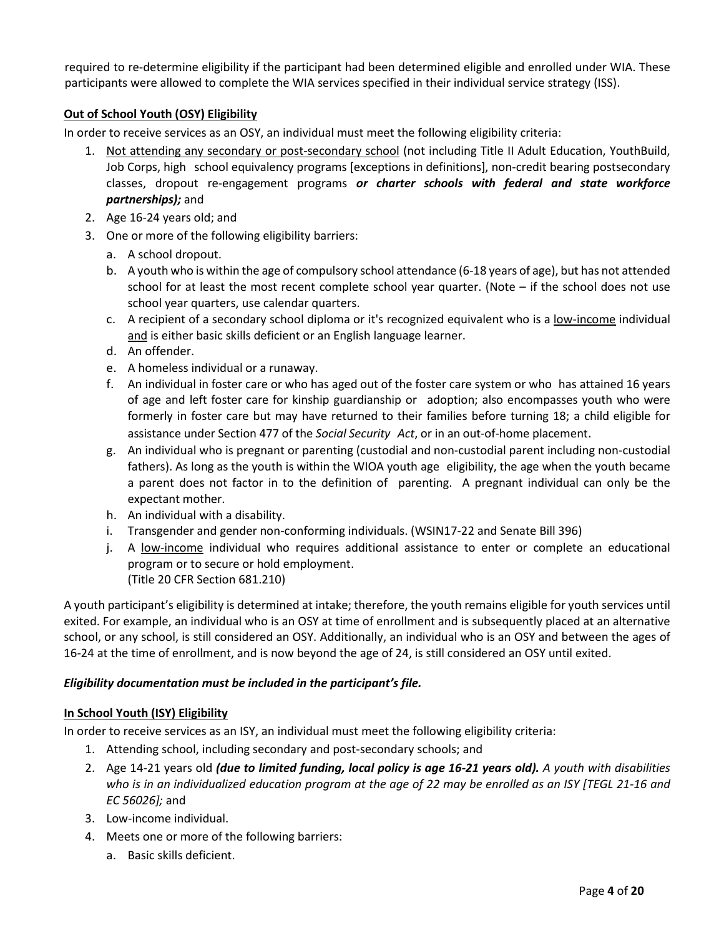required to re-determine eligibility if the participant had been determined eligible and enrolled under WIA. These participants were allowed to complete the WIA services specified in their individual service strategy (ISS).

# **Out of School Youth (OSY) Eligibility**

In order to receive services as an OSY, an individual must meet the following eligibility criteria:

- 1. Not attending any secondary or post-secondary school (not including Title II Adult Education, YouthBuild, Job Corps, high school equivalency programs [exceptions in definitions], non-credit bearing postsecondary classes, dropout re-engagement programs *or charter schools with federal and state workforce partnerships);* and
- 2. Age 16-24 years old; and
- 3. One or more of the following eligibility barriers:
	- a. A school dropout.
	- b. A youth who is within the age of compulsory school attendance (6-18 years of age), but has not attended school for at least the most recent complete school year quarter. (Note – if the school does not use school year quarters, use calendar quarters.
	- c. A recipient of a secondary school diploma or it's recognized equivalent who is a low-income individual and is either basic skills deficient or an English language learner.
	- d. An offender.
	- e. A homeless individual or a runaway.
	- f. An individual in foster care or who has aged out of the foster care system or who has attained 16 years of age and left foster care for kinship guardianship or adoption; also encompasses youth who were formerly in foster care but may have returned to their families before turning 18; a child eligible for assistance under Section 477 of the *Social Security Act*, or in an out-of-home placement.
	- g. An individual who is pregnant or parenting (custodial and non-custodial parent including non-custodial fathers). As long as the youth is within the WIOA youth age eligibility, the age when the youth became a parent does not factor in to the definition of parenting. A pregnant individual can only be the expectant mother.
	- h. An individual with a disability.
	- i. Transgender and gender non-conforming individuals. (WSIN17-22 and Senate Bill 396)
	- j. A low-income individual who requires additional assistance to enter or complete an educational program or to secure or hold employment. (Title 20 CFR Section 681.210)

A youth participant's eligibility is determined at intake; therefore, the youth remains eligible for youth services until exited. For example, an individual who is an OSY at time of enrollment and is subsequently placed at an alternative school, or any school, is still considered an OSY. Additionally, an individual who is an OSY and between the ages of 16-24 at the time of enrollment, and is now beyond the age of 24, is still considered an OSY until exited.

## *Eligibility documentation must be included in the participant's file.*

## **In School Youth (ISY) Eligibility**

In order to receive services as an ISY, an individual must meet the following eligibility criteria:

- 1. Attending school, including secondary and post-secondary schools; and
- 2. Age 14-21 years old *(due to limited funding, local policy is age 16-21 years old). A youth with disabilities who is in an individualized education program at the age of 22 may be enrolled as an ISY [TEGL 21-16 and EC 56026];* and
- 3. Low-income individual.
- 4. Meets one or more of the following barriers:
	- a. Basic skills deficient.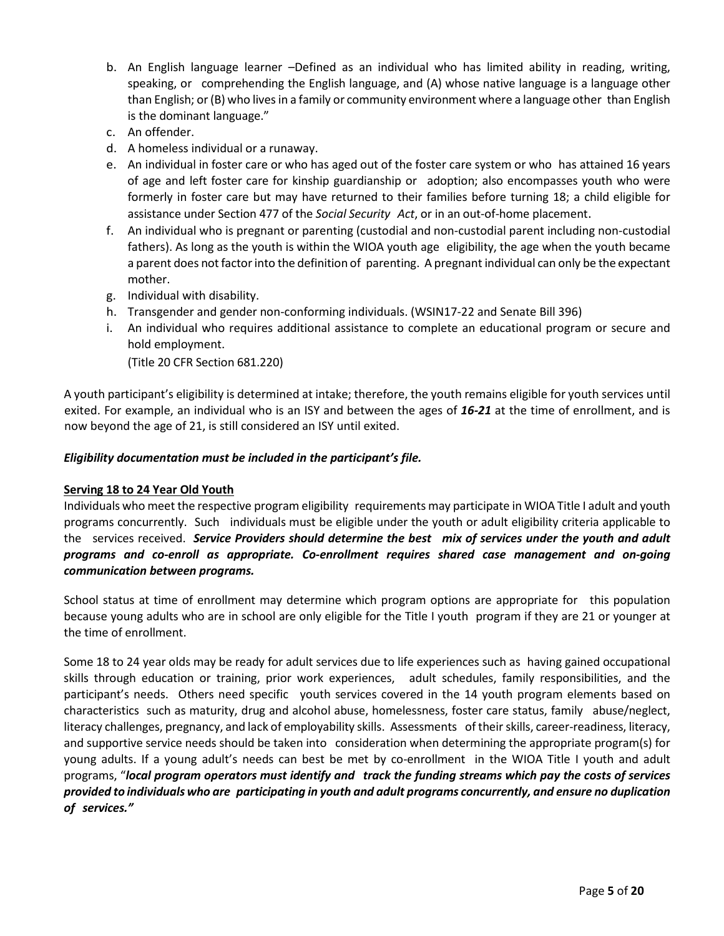- b. An English language learner –Defined as an individual who has limited ability in reading, writing, speaking, or comprehending the English language, and (A) whose native language is a language other than English; or (B) who livesin a family or community environment where a language other than English is the dominant language."
- c. An offender.
- d. A homeless individual or a runaway.
- e. An individual in foster care or who has aged out of the foster care system or who has attained 16 years of age and left foster care for kinship guardianship or adoption; also encompasses youth who were formerly in foster care but may have returned to their families before turning 18; a child eligible for assistance under Section 477 of the *Social Security Act*, or in an out-of-home placement.
- f. An individual who is pregnant or parenting (custodial and non-custodial parent including non-custodial fathers). As long as the youth is within the WIOA youth age eligibility, the age when the youth became a parent does not factorinto the definition of parenting. A pregnant individual can only be the expectant mother.
- g. Individual with disability.
- h. Transgender and gender non-conforming individuals. (WSIN17-22 and Senate Bill 396)
- i. An individual who requires additional assistance to complete an educational program or secure and hold employment.

(Title 20 CFR Section 681.220)

A youth participant's eligibility is determined at intake; therefore, the youth remains eligible for youth services until exited. For example, an individual who is an ISY and between the ages of *16-21* at the time of enrollment, and is now beyond the age of 21, is still considered an ISY until exited.

### *Eligibility documentation must be included in the participant's file.*

#### **Serving 18 to 24 Year Old Youth**

Individuals who meet the respective program eligibility requirements may participate in WIOA Title I adult and youth programs concurrently. Such individuals must be eligible under the youth or adult eligibility criteria applicable to the services received. *Service Providers should determine the best mix of services under the youth and adult programs and co-enroll as appropriate. Co-enrollment requires shared case management and on-going communication between programs.*

School status at time of enrollment may determine which program options are appropriate for this population because young adults who are in school are only eligible for the Title I youth program if they are 21 or younger at the time of enrollment.

Some 18 to 24 year olds may be ready for adult services due to life experiences such as having gained occupational skills through education or training, prior work experiences, adult schedules, family responsibilities, and the participant's needs. Others need specific youth services covered in the 14 youth program elements based on characteristics such as maturity, drug and alcohol abuse, homelessness, foster care status, family abuse/neglect, literacy challenges, pregnancy, and lack of employability skills. Assessments of their skills, career-readiness, literacy, and supportive service needs should be taken into consideration when determining the appropriate program(s) for young adults. If a young adult's needs can best be met by co-enrollment in the WIOA Title I youth and adult programs, "*local program operators must identify and track the funding streams which pay the costs of services provided to individuals who are participating in youth and adult programs concurrently, and ensure no duplication of services."*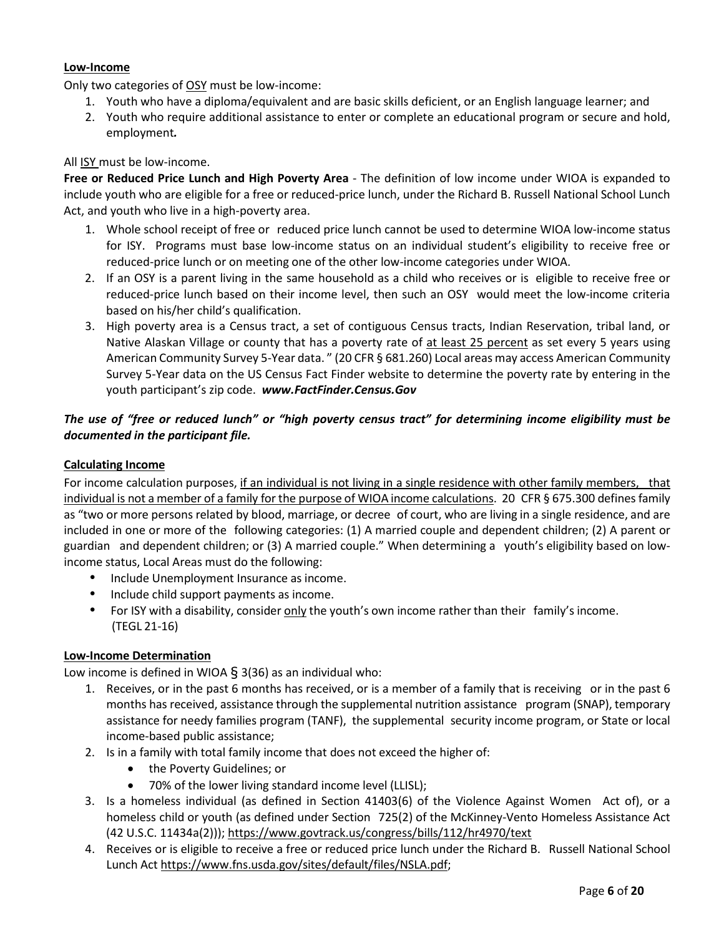## **Low-Income**

Only two categories of OSY must be low-income:

- 1. Youth who have a diploma/equivalent and are basic skills deficient, or an English language learner; and
- 2. Youth who require additional assistance to enter or complete an educational program or secure and hold, employment*.*

## All ISY must be low-income.

**Free or Reduced Price Lunch and High Poverty Area** - The definition of low income under WIOA is expanded to include youth who are eligible for a free or reduced-price lunch, under the Richard B. Russell National School Lunch Act, and youth who live in a high-poverty area.

- 1. Whole school receipt of free or reduced price lunch cannot be used to determine WIOA low-income status for ISY. Programs must base low-income status on an individual student's eligibility to receive free or reduced-price lunch or on meeting one of the other low-income categories under WIOA.
- 2. If an OSY is a parent living in the same household as a child who receives or is eligible to receive free or reduced-price lunch based on their income level, then such an OSY would meet the low-income criteria based on his/her child's qualification.
- 3. High poverty area is a Census tract, a set of contiguous Census tracts, Indian Reservation, tribal land, or Native Alaskan Village or county that has a poverty rate of at least 25 percent as set every 5 years using American Community Survey 5-Year data. " (20 CFR § 681.260) Local areas may access American Community Survey 5-Year data on the US Census Fact Finder website to determine the poverty rate by entering in the youth participant's zip code. *www.FactFinder.Census.Gov*

# *The use of "free or reduced lunch" or "high poverty census tract" for determining income eligibility must be documented in the participant file.*

## **Calculating Income**

For income calculation purposes, if an individual is not living in a single residence with other family members, that individual is not a member of a family for the purpose of WIOA income calculations. 20 CFR § 675.300 defines family as "two or more persons related by blood, marriage, or decree of court, who are living in a single residence, and are included in one or more of the following categories: (1) A married couple and dependent children; (2) A parent or guardian and dependent children; or (3) A married couple." When determining a youth's eligibility based on lowincome status, Local Areas must do the following:

- Include Unemployment Insurance as income.
- Include child support payments as income.
- For ISY with a disability, consider only the youth's own income rather than their family's income. (TEGL 21-16)

## **Low-Income Determination**

Low income is defined in WIOA  $\S$  3(36) as an individual who:

- 1. Receives, or in the past 6 months has received, or is a member of a family that is receiving or in the past 6 months has received, assistance through the supplemental nutrition assistance program (SNAP), temporary assistance for needy families program (TANF), the supplemental security income program, or State or local income-based public assistance;
- 2. Is in a family with total family income that does not exceed the higher of:
	- the Poverty Guidelines; or
	- 70% of the lower living standard income level (LLISL);
- 3. Is a homeless individual (as defined in Section 41403(6) of the Violence Against Women Act of), or a homeless child or youth (as defined under Section 725(2) of the McKinney-Vento Homeless Assistance Act (42 U.S.C. 11434a(2)));<https://www.govtrack.us/congress/bills/112/hr4970/text>
- 4. Receives or is eligible to receive a free or reduced price lunch under the Richard B. Russell National School Lunch Act [https://www.fns.usda.gov/sites/default/files/NSLA.pdf;](https://www.fns.usda.gov/sites/default/files/NSLA.pdf)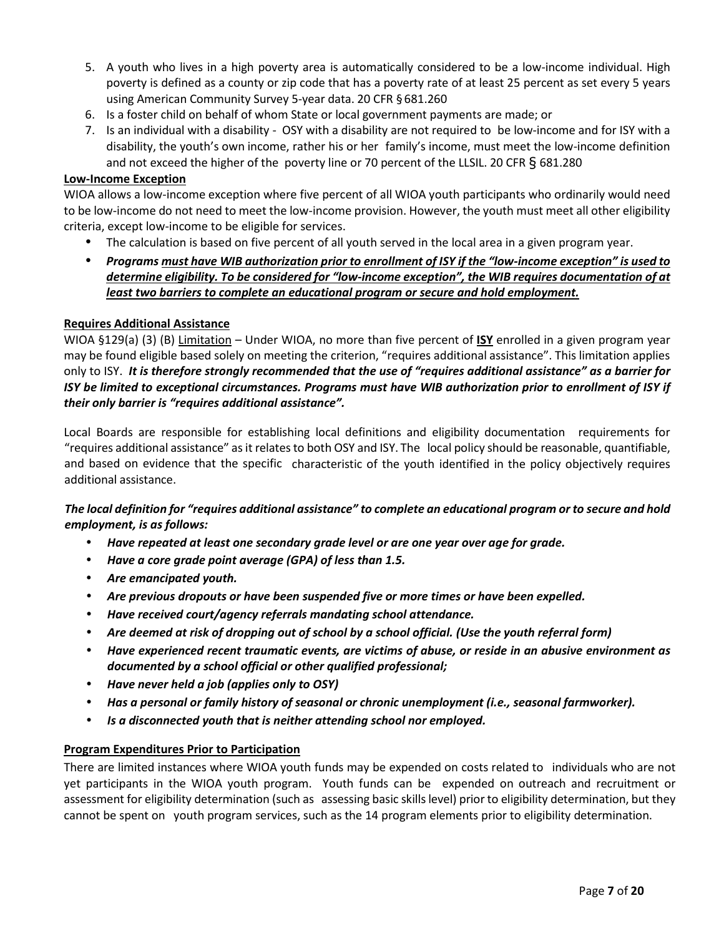- 5. A youth who lives in a high poverty area is automatically considered to be a low-income individual. High poverty is defined as a county or zip code that has a poverty rate of at least 25 percent as set every 5 years using American Community Survey 5-year data. 20 CFR § 681.260
- 6. Is a foster child on behalf of whom State or local government payments are made; or
- 7. Is an individual with a disability OSY with a disability are not required to be low-income and for ISY with a disability, the youth's own income, rather his or her family's income, must meet the low-income definition and not exceed the higher of the poverty line or 70 percent of the LLSIL. 20 CFR  $\S$  681.280

### **Low-Income Exception**

WIOA allows a low-income exception where five percent of all WIOA youth participants who ordinarily would need to be low-income do not need to meet the low-income provision. However, the youth must meet all other eligibility criteria, except low-income to be eligible for services.

- The calculation is based on five percent of all youth served in the local area in a given program year.
- *Programs must have WIB authorization prior to enrollment of ISY if the "low-income exception" is used to determine eligibility. To be considered for "low-income exception", the WIB requires documentation of at least two barriers to complete an educational program or secure and hold employment.*

### **Requires Additional Assistance**

WIOA §129(a) (3) (B) Limitation – Under WIOA, no more than five percent of **ISY** enrolled in a given program year may be found eligible based solely on meeting the criterion, "requires additional assistance". This limitation applies only to ISY. *It is therefore strongly recommended that the use of "requires additional assistance" as a barrier for ISY be limited to exceptional circumstances. Programs must have WIB authorization prior to enrollment of ISY if their only barrier is "requires additional assistance".*

Local Boards are responsible for establishing local definitions and eligibility documentation requirements for "requires additional assistance" as it relates to both OSY and ISY. The local policy should be reasonable, quantifiable, and based on evidence that the specific characteristic of the youth identified in the policy objectively requires additional assistance.

## *The local definition for "requires additional assistance" to complete an educational program or to secure and hold employment, is as follows:*

- *Have repeated at least one secondary grade level or are one year over age for grade.*
- *Have a core grade point average (GPA) of less than 1.5.*
- *Are emancipated youth.*
- *Are previous dropouts or have been suspended five or more times or have been expelled.*
- *Have received court/agency referrals mandating school attendance.*
- *Are deemed at risk of dropping out of school by a school official. (Use the youth referral form)*
- *Have experienced recent traumatic events, are victims of abuse, or reside in an abusive environment as documented by a school official or other qualified professional;*
- *Have never held a job (applies only to OSY)*
- *Has a personal or family history of seasonal or chronic unemployment (i.e., seasonal farmworker).*
- *Is a disconnected youth that is neither attending school nor employed.*

## **Program Expenditures Prior to Participation**

There are limited instances where WIOA youth funds may be expended on costs related to individuals who are not yet participants in the WIOA youth program. Youth funds can be expended on outreach and recruitment or assessment for eligibility determination (such as assessing basic skills level) prior to eligibility determination, but they cannot be spent on youth program services, such as the 14 program elements prior to eligibility determination.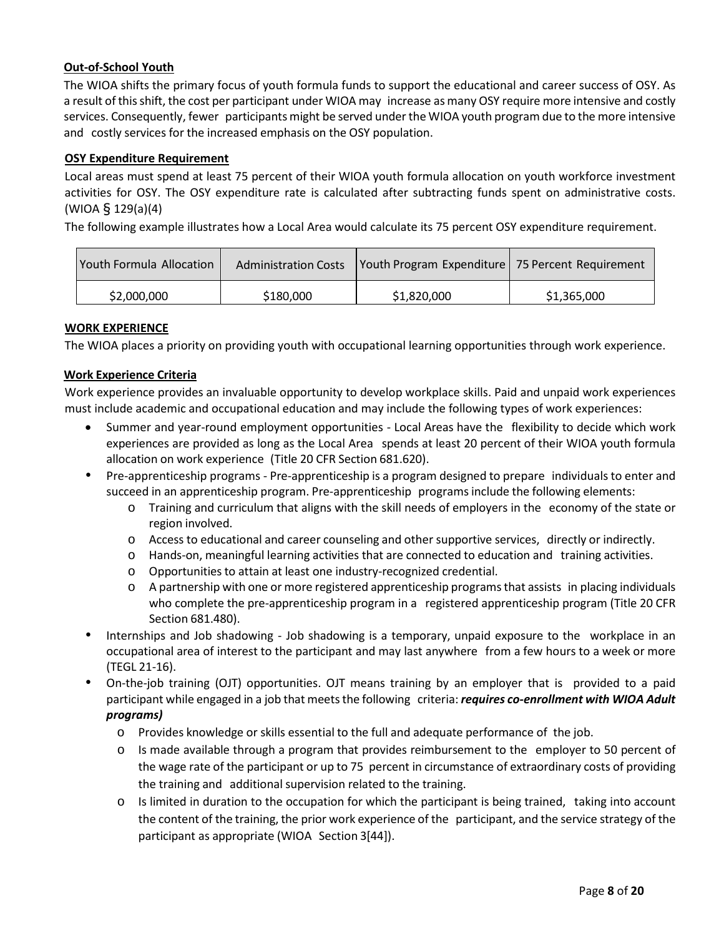## **Out-of-School Youth**

The WIOA shifts the primary focus of youth formula funds to support the educational and career success of OSY. As a result of thisshift, the cost per participant under WIOA may increase as many OSY require more intensive and costly services. Consequently, fewer participants might be served under the WIOA youth program due to the more intensive and costly services for the increased emphasis on the OSY population.

## **OSY Expenditure Requirement**

Local areas must spend at least 75 percent of their WIOA youth formula allocation on youth workforce investment activities for OSY. The OSY expenditure rate is calculated after subtracting funds spent on administrative costs. (WIOA § 129(a)(4)

The following example illustrates how a Local Area would calculate its 75 percent OSY expenditure requirement.

| <b>Youth Formula Allocation</b> | <b>Administration Costs</b> | Vouth Program Expenditure   75 Percent Requirement |             |
|---------------------------------|-----------------------------|----------------------------------------------------|-------------|
| \$2,000,000                     | \$180,000                   | \$1,820,000                                        | \$1,365,000 |

## **WORK EXPERIENCE**

The WIOA places a priority on providing youth with occupational learning opportunities through work experience.

### **Work Experience Criteria**

Work experience provides an invaluable opportunity to develop workplace skills. Paid and unpaid work experiences must include academic and occupational education and may include the following types of work experiences:

- Summer and year-round employment opportunities Local Areas have the flexibility to decide which work experiences are provided as long as the Local Area spends at least 20 percent of their WIOA youth formula allocation on work experience (Title 20 CFR Section 681.620).
- Pre-apprenticeship programs Pre-apprenticeship is a program designed to prepare individuals to enter and succeed in an apprenticeship program. Pre-apprenticeship programsinclude the following elements:
	- o Training and curriculum that aligns with the skill needs of employers in the economy of the state or region involved.
	- o Access to educational and career counseling and other supportive services, directly or indirectly.
	- o Hands-on, meaningful learning activities that are connected to education and training activities.
	- o Opportunities to attain at least one industry-recognized credential.
	- $\circ$  A partnership with one or more registered apprenticeship programs that assists in placing individuals who complete the pre-apprenticeship program in a registered apprenticeship program (Title 20 CFR Section 681.480).
- Internships and Job shadowing Job shadowing is a temporary, unpaid exposure to the workplace in an occupational area of interest to the participant and may last anywhere from a few hours to a week or more (TEGL 21-16).
- On-the-job training (OJT) opportunities. OJT means training by an employer that is provided to a paid participant while engaged in a job that meetsthe following criteria: *requires co-enrollment with WIOA Adult programs)*
	- o Provides knowledge or skills essential to the full and adequate performance of the job.
	- o Is made available through a program that provides reimbursement to the employer to 50 percent of the wage rate of the participant or up to 75 percent in circumstance of extraordinary costs of providing the training and additional supervision related to the training.
	- $\circ$  Is limited in duration to the occupation for which the participant is being trained, taking into account the content of the training, the prior work experience of the participant, and the service strategy of the participant as appropriate (WIOA Section 3[44]).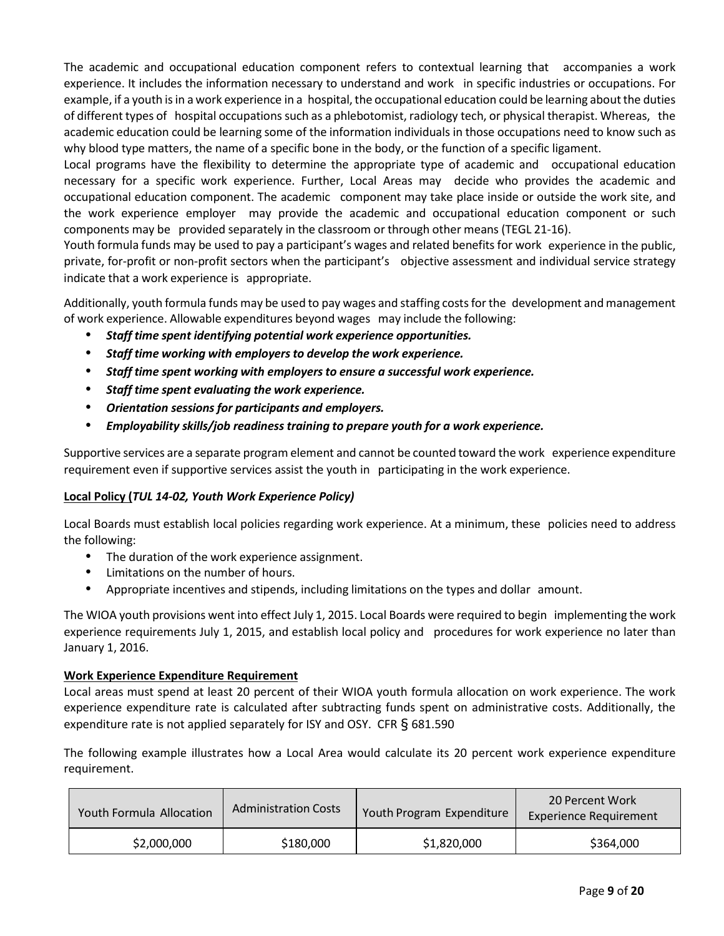The academic and occupational education component refers to contextual learning that accompanies a work experience. It includes the information necessary to understand and work in specific industries or occupations. For example, if a youth is in a work experience in a hospital, the occupational education could be learning about the duties of different types of hospital occupations such as a phlebotomist, radiology tech, or physical therapist. Whereas, the academic education could be learning some of the information individuals in those occupations need to know such as why blood type matters, the name of a specific bone in the body, or the function of a specific ligament.

Local programs have the flexibility to determine the appropriate type of academic and occupational education necessary for a specific work experience. Further, Local Areas may decide who provides the academic and occupational education component. The academic component may take place inside or outside the work site, and the work experience employer may provide the academic and occupational education component or such components may be provided separately in the classroom or through other means (TEGL 21-16).

Youth formula funds may be used to pay a participant's wages and related benefits for work experience in the public, private, for-profit or non-profit sectors when the participant's objective assessment and individual service strategy indicate that a work experience is appropriate.

Additionally, youth formula funds may be used to pay wages and staffing costsforthe development and management of work experience. Allowable expenditures beyond wages may include the following:

- *Staff time spent identifying potential work experience opportunities.*
- *Staff time working with employersto develop the work experience.*
- *Staff time spent working with employersto ensure a successful work experience.*
- *Staff time spent evaluating the work experience.*
- *Orientation sessions for participants and employers.*
- *Employability skills/job readiness training to prepare youth for a work experience.*

Supportive services are a separate program element and cannot be counted toward the work experience expenditure requirement even if supportive services assist the youth in participating in the work experience.

# **Local Policy (***TUL 14-02, Youth Work Experience Policy)*

Local Boards must establish local policies regarding work experience. At a minimum, these policies need to address the following:

- The duration of the work experience assignment.
- Limitations on the number of hours.
- Appropriate incentives and stipends, including limitations on the types and dollar amount.

The WIOA youth provisions went into effect July 1, 2015. Local Boards were required to begin implementing the work experience requirements July 1, 2015, and establish local policy and procedures for work experience no later than January 1, 2016.

## **Work Experience Expenditure Requirement**

Local areas must spend at least 20 percent of their WIOA youth formula allocation on work experience. The work experience expenditure rate is calculated after subtracting funds spent on administrative costs. Additionally, the expenditure rate is not applied separately for ISY and OSY. CFR § 681.590

The following example illustrates how a Local Area would calculate its 20 percent work experience expenditure requirement.

| <b>Youth Formula Allocation</b> | <b>Administration Costs</b> | Youth Program Expenditure | 20 Percent Work<br><b>Experience Requirement</b> |
|---------------------------------|-----------------------------|---------------------------|--------------------------------------------------|
| \$2,000,000                     | \$180,000                   | \$1,820,000               | \$364,000                                        |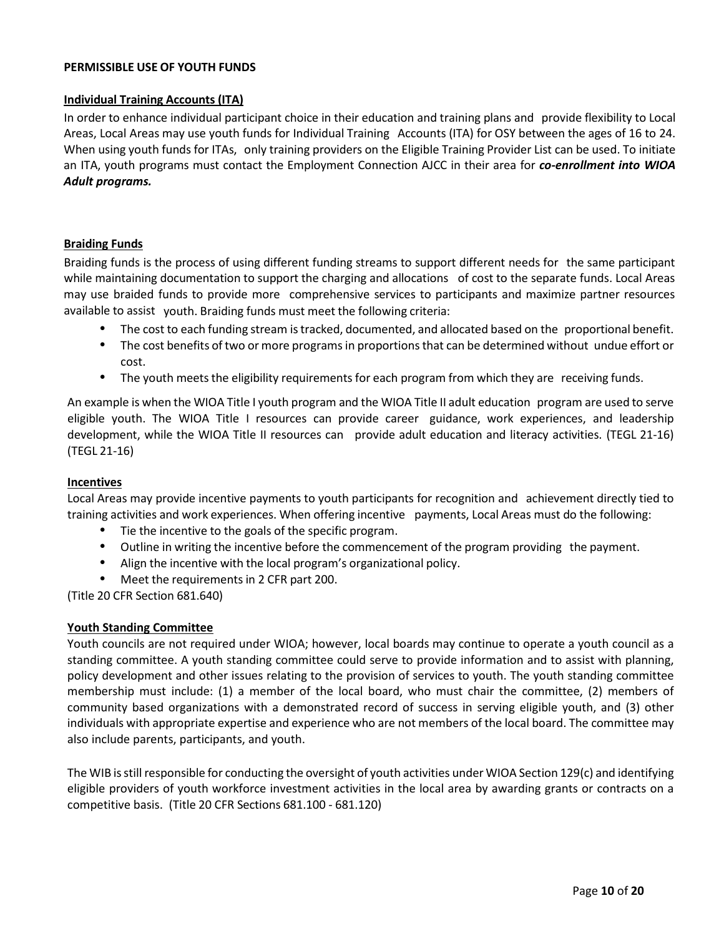#### **PERMISSIBLE USE OF YOUTH FUNDS**

#### **Individual Training Accounts (ITA)**

In order to enhance individual participant choice in their education and training plans and provide flexibility to Local Areas, Local Areas may use youth funds for Individual Training Accounts (ITA) for OSY between the ages of 16 to 24. When using youth funds for ITAs, only training providers on the Eligible Training Provider List can be used. To initiate an ITA, youth programs must contact the Employment Connection AJCC in their area for *co-enrollment into WIOA Adult programs.* 

## **Braiding Funds**

Braiding funds is the process of using different funding streams to support different needs for the same participant while maintaining documentation to support the charging and allocations of cost to the separate funds. Local Areas may use braided funds to provide more comprehensive services to participants and maximize partner resources available to assist youth. Braiding funds must meet the following criteria:

- The cost to each funding stream istracked, documented, and allocated based on the proportional benefit.
- The cost benefits of two or more programs in proportions that can be determined without undue effort or cost.
- The youth meets the eligibility requirements for each program from which they are receiving funds.

An example is when the WIOA Title I youth program and the WIOA Title II adult education program are used to serve eligible youth. The WIOA Title I resources can provide career guidance, work experiences, and leadership development, while the WIOA Title II resources can provide adult education and literacy activities. (TEGL 21-16) (TEGL 21-16)

#### **Incentives**

Local Areas may provide incentive payments to youth participants for recognition and achievement directly tied to training activities and work experiences. When offering incentive payments, Local Areas must do the following:

- Tie the incentive to the goals of the specific program.
- Outline in writing the incentive before the commencement of the program providing the payment.
- Align the incentive with the local program's organizational policy.
- Meet the requirements in 2 CFR part 200.

(Title 20 CFR Section 681.640)

## **Youth Standing Committee**

Youth councils are not required under WIOA; however, local boards may continue to operate a youth council as a standing committee. A youth standing committee could serve to provide information and to assist with planning, policy development and other issues relating to the provision of services to youth. The youth standing committee membership must include: (1) a member of the local board, who must chair the committee, (2) members of community based organizations with a demonstrated record of success in serving eligible youth, and (3) other individuals with appropriate expertise and experience who are not members of the local board. The committee may also include parents, participants, and youth.

The WIB is still responsible for conducting the oversight of youth activities under WIOA Section 129(c) and identifying eligible providers of youth workforce investment activities in the local area by awarding grants or contracts on a competitive basis. (Title 20 CFR Sections 681.100 - 681.120)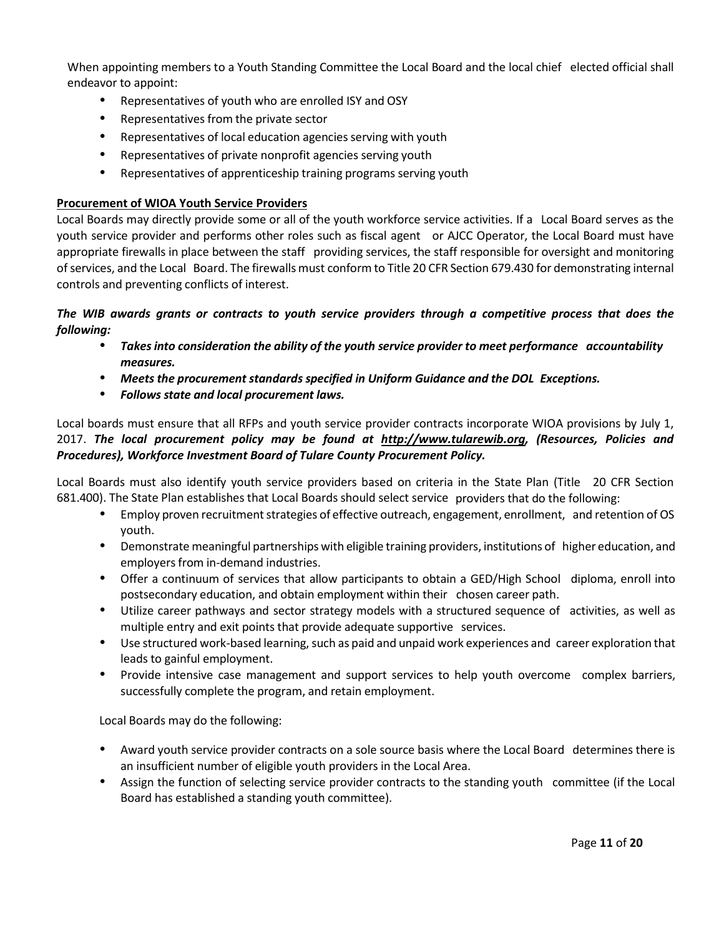When appointing members to a Youth Standing Committee the Local Board and the local chief elected official shall endeavor to appoint:

- Representatives of youth who are enrolled ISY and OSY
- Representatives from the private sector
- Representatives of local education agencies serving with youth
- Representatives of private nonprofit agencies serving youth
- Representatives of apprenticeship training programs serving youth

## **Procurement of WIOA Youth Service Providers**

Local Boards may directly provide some or all of the youth workforce service activities. If a Local Board serves as the youth service provider and performs other roles such as fiscal agent or AJCC Operator, the Local Board must have appropriate firewalls in place between the staff providing services, the staff responsible for oversight and monitoring of services, and the Local Board. The firewalls must conform to Title 20 CFR Section 679.430 for demonstrating internal controls and preventing conflicts of interest.

*The WIB awards grants or contracts to youth service providers through a competitive process that does the following:*

- *Takesinto consideration the ability of the youth service provider to meet performance accountability measures.*
- *Meets the procurement standards specified in Uniform Guidance and the DOL Exceptions.*
- *Follows state and local procurement laws.*

Local boards must ensure that all RFPs and youth service provider contracts incorporate WIOA provisions by July 1, 2017. *The local procurement policy may be found at [http://www.tularewib.org,](http://www.tularewib.org/) (Resources, Policies and Procedures), Workforce Investment Board of Tulare County Procurement Policy.*

Local Boards must also identify youth service providers based on criteria in the State Plan (Title 20 CFR Section 681.400). The State Plan establishes that Local Boards should select service providers that do the following:

- Employ proven recruitment strategies of effective outreach, engagement, enrollment, and retention of OS youth.
- Demonstrate meaningful partnerships with eligible training providers, institutions of higher education, and employers from in-demand industries.
- Offer a continuum of services that allow participants to obtain a GED/High School diploma, enroll into postsecondary education, and obtain employment within their chosen career path.
- Utilize career pathways and sector strategy models with a structured sequence of activities, as well as multiple entry and exit points that provide adequate supportive services.
- Use structured work-based learning, such as paid and unpaid work experiences and career exploration that leads to gainful employment.
- Provide intensive case management and support services to help youth overcome complex barriers, successfully complete the program, and retain employment.

Local Boards may do the following:

- Award youth service provider contracts on a sole source basis where the Local Board determines there is an insufficient number of eligible youth providers in the Local Area.
- Assign the function of selecting service provider contracts to the standing youth committee (if the Local Board has established a standing youth committee).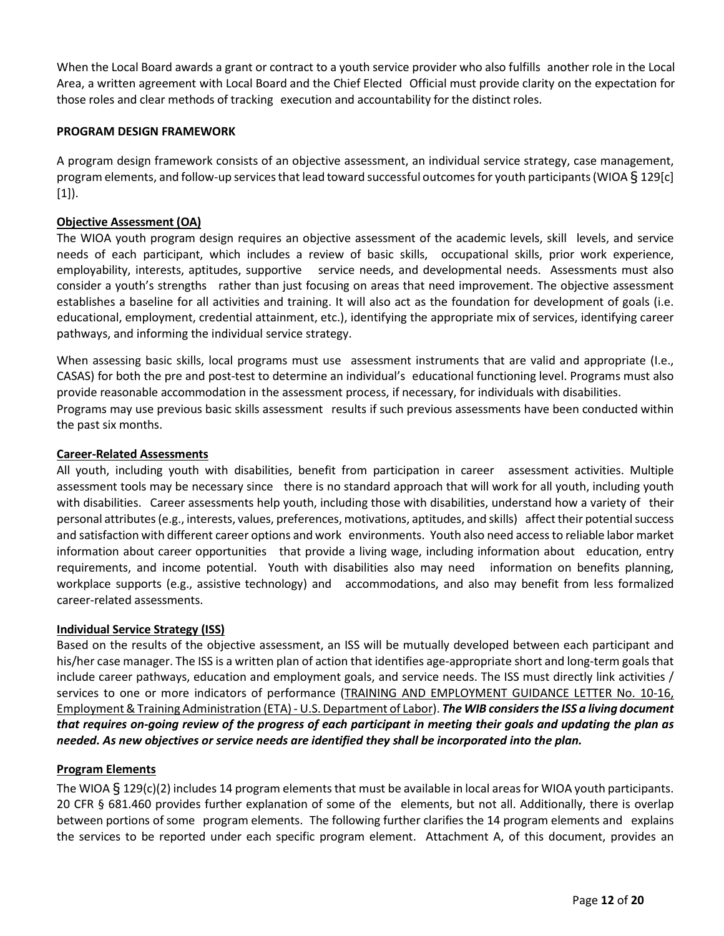When the Local Board awards a grant or contract to a youth service provider who also fulfills another role in the Local Area, a written agreement with Local Board and the Chief Elected Official must provide clarity on the expectation for those roles and clear methods of tracking execution and accountability for the distinct roles.

### **PROGRAM DESIGN FRAMEWORK**

A program design framework consists of an objective assessment, an individual service strategy, case management, program elements, and follow-up services that lead toward successful outcomes for youth participants (WIOA § 129[c] [1]).

### **Objective Assessment (OA)**

The WIOA youth program design requires an objective assessment of the academic levels, skill levels, and service needs of each participant, which includes a review of basic skills, occupational skills, prior work experience, employability, interests, aptitudes, supportive service needs, and developmental needs. Assessments must also consider a youth's strengths rather than just focusing on areas that need improvement. The objective assessment establishes a baseline for all activities and training. It will also act as the foundation for development of goals (i.e. educational, employment, credential attainment, etc.), identifying the appropriate mix of services, identifying career pathways, and informing the individual service strategy.

When assessing basic skills, local programs must use assessment instruments that are valid and appropriate (I.e., CASAS) for both the pre and post-test to determine an individual's educational functioning level. Programs must also provide reasonable accommodation in the assessment process, if necessary, for individuals with disabilities. Programs may use previous basic skills assessment results if such previous assessments have been conducted within the past six months.

#### **Career-Related Assessments**

All youth, including youth with disabilities, benefit from participation in career assessment activities. Multiple assessment tools may be necessary since there is no standard approach that will work for all youth, including youth with disabilities. Career assessments help youth, including those with disabilities, understand how a variety of their personal attributes (e.g., interests, values, preferences, motivations, aptitudes, and skills) affect their potentialsuccess and satisfaction with different career options and work environments. Youth also need accessto reliable labor market information about career opportunities that provide a living wage, including information about education, entry requirements, and income potential. Youth with disabilities also may need information on benefits planning, workplace supports (e.g., assistive technology) and accommodations, and also may benefit from less formalized career-related assessments.

## **Individual Service Strategy (ISS)**

Based on the results of the objective assessment, an ISS will be mutually developed between each participant and his/her case manager. The ISS is a written plan of action that identifies age-appropriate short and long-term goals that include career pathways, education and employment goals, and service needs. The ISS must directly link activities / services to one or more indicators of performance (TRAINING AND EMPLOYMENT GUIDANCE LETTER No. 10-16, [Employment & Training Administration \(ETA\) -](https://wdr.doleta.gov/directives/corr_doc.cfm?DOCN=8226) U.S. Department of Labor). *The WIB considers the ISS a living document that requires on-going review of the progress of each participant in meeting their goals and updating the plan as needed. As new objectives or service needs are identified they shall be incorporated into the plan.*

#### **Program Elements**

The WIOA  $\S$  129(c)(2) includes 14 program elements that must be available in local areas for WIOA youth participants. 20 CFR § 681.460 provides further explanation of some of the elements, but not all. Additionally, there is overlap between portions of some program elements. The following further clarifies the 14 program elements and explains the services to be reported under each specific program element. Attachment A, of this document, provides an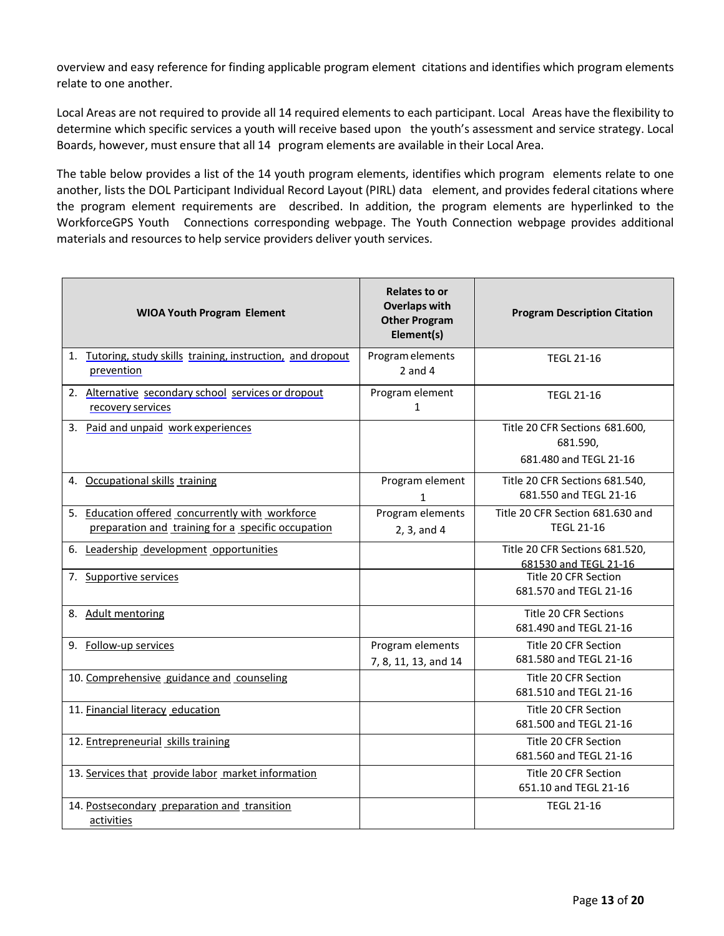overview and easy reference for finding applicable program element citations and identifies which program elements relate to one another.

Local Areas are not required to provide all 14 required elements to each participant. Local Areas have the flexibility to determine which specific services a youth will receive based upon the youth's assessment and service strategy. Local Boards, however, must ensure that all 14 program elements are available in their Local Area.

The table below provides a list of the 14 youth program elements, identifies which program elements relate to one another, lists the DOL Participant Individual Record Layout (PIRL) data element, and provides federal citations where the program element requirements are described. In addition, the program elements are hyperlinked to the WorkforceGPS Youth Connections corresponding webpage. The Youth Connection webpage provides additional materials and resources to help service providers deliver youth services.

| <b>WIOA Youth Program Element</b>                                                                      | Relates to or<br><b>Overlaps with</b><br><b>Other Program</b><br>Element(s) | <b>Program Description Citation</b>                                  |
|--------------------------------------------------------------------------------------------------------|-----------------------------------------------------------------------------|----------------------------------------------------------------------|
| 1. Tutoring, study skills training, instruction, and dropout<br>prevention                             | Program elements<br>$2$ and $4$                                             | <b>TEGL 21-16</b>                                                    |
| 2. Alternative secondary school services or dropout<br>recovery services                               | Program element<br>$\mathbf{1}$                                             | <b>TEGL 21-16</b>                                                    |
| 3. Paid and unpaid work experiences                                                                    |                                                                             | Title 20 CFR Sections 681.600,<br>681.590,<br>681.480 and TEGL 21-16 |
| 4. Occupational skills training                                                                        | Program element<br>$\mathbf{1}$                                             | Title 20 CFR Sections 681.540,<br>681.550 and TEGL 21-16             |
| 5. Education offered concurrently with workforce<br>preparation and training for a specific occupation | Program elements<br>2, 3, and 4                                             | Title 20 CFR Section 681.630 and<br><b>TEGL 21-16</b>                |
| 6. Leadership development opportunities                                                                |                                                                             | Title 20 CFR Sections 681.520,<br>681530 and TEGL 21-16              |
| 7. Supportive services                                                                                 |                                                                             | Title 20 CFR Section<br>681.570 and TEGL 21-16                       |
| 8. Adult mentoring                                                                                     |                                                                             | Title 20 CFR Sections<br>681.490 and TEGL 21-16                      |
| 9. Follow-up services                                                                                  | Program elements<br>7, 8, 11, 13, and 14                                    | Title 20 CFR Section<br>681.580 and TEGL 21-16                       |
| 10. Comprehensive guidance and counseling                                                              |                                                                             | Title 20 CFR Section<br>681.510 and TEGL 21-16                       |
| 11. Financial literacy education                                                                       |                                                                             | Title 20 CFR Section<br>681.500 and TEGL 21-16                       |
| 12. Entrepreneurial skills training                                                                    |                                                                             | Title 20 CFR Section<br>681.560 and TEGL 21-16                       |
| 13. Services that provide labor market information                                                     |                                                                             | Title 20 CFR Section<br>651.10 and TEGL 21-16                        |
| 14. Postsecondary preparation and transition<br>activities                                             |                                                                             | <b>TEGL 21-16</b>                                                    |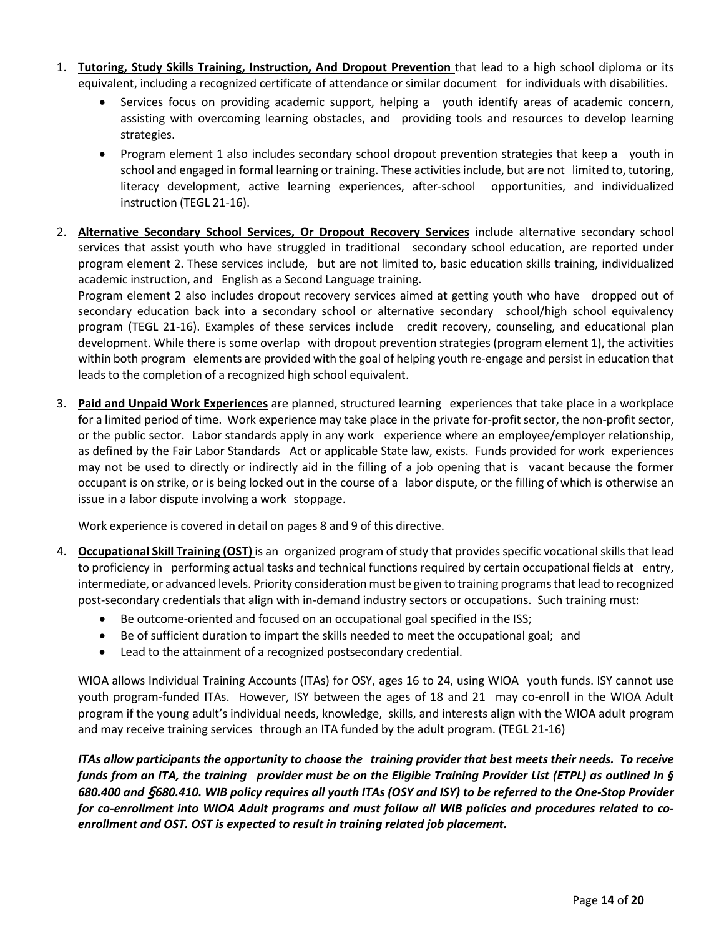- 1. **Tutoring, Study Skills Training, Instruction, And Dropout Prevention** that lead to a high school diploma or its equivalent, including a recognized certificate of attendance or similar document for individuals with disabilities.
	- Services focus on providing academic support, helping a youth identify areas of academic concern, assisting with overcoming learning obstacles, and providing tools and resources to develop learning strategies.
	- Program element 1 also includes secondary school dropout prevention strategies that keep a youth in school and engaged in formal learning or training. These activitiesinclude, but are not limited to, tutoring, literacy development, active learning experiences, after-school opportunities, and individualized instruction (TEGL 21-16).
- 2. **Alternative Secondary School Services, Or Dropout Recovery Services** include alternative secondary school services that assist youth who have struggled in traditional secondary school education, are reported under program element 2. These services include, but are not limited to, basic education skills training, individualized academic instruction, and English as a Second Language training.

Program element 2 also includes dropout recovery services aimed at getting youth who have dropped out of secondary education back into a secondary school or alternative secondary school/high school equivalency program (TEGL 21-16). Examples of these services include credit recovery, counseling, and educational plan development. While there is some overlap with dropout prevention strategies (program element 1), the activities within both program elements are provided with the goal of helping youth re-engage and persist in education that leads to the completion of a recognized high school equivalent.

3. **Paid and Unpaid Work Experiences** are planned, structured learning experiences that take place in a workplace for a limited period of time. Work experience may take place in the private for-profit sector, the non-profit sector, or the public sector. Labor standards apply in any work experience where an employee/employer relationship, as defined by the Fair Labor Standards Act or applicable State law, exists. Funds provided for work experiences may not be used to directly or indirectly aid in the filling of a job opening that is vacant because the former occupant is on strike, or is being locked out in the course of a labor dispute, or the filling of which is otherwise an issue in a labor dispute involving a work stoppage.

Work experience is covered in detail on pages 8 and 9 of this directive.

- 4. **Occupational Skill Training (OST)** is an organized program of study that provides specific vocational skills that lead to proficiency in performing actual tasks and technical functions required by certain occupational fields at entry, intermediate, or advanced levels. Priority consideration must be given to training programs that lead to recognized post-secondary credentials that align with in-demand industry sectors or occupations. Such training must:
	- Be outcome-oriented and focused on an occupational goal specified in the ISS;
	- Be of sufficient duration to impart the skills needed to meet the occupational goal; and
	- Lead to the attainment of a recognized postsecondary credential.

WIOA allows Individual Training Accounts (ITAs) for OSY, ages 16 to 24, using WIOA youth funds. ISY cannot use youth program-funded ITAs. However, ISY between the ages of 18 and 21 may co-enroll in the WIOA Adult program if the young adult's individual needs, knowledge, skills, and interests align with the WIOA adult program and may receive training services through an ITA funded by the adult program. (TEGL 21-16)

*ITAs allow participants the opportunity to choose the training provider that best meets their needs. To receive funds from an ITA, the training provider must be on the Eligible Training Provider List (ETPL) as outlined in § 680.400 and* §*680.410. WIB policy requires all youth ITAs (OSY and ISY) to be referred to the One-Stop Provider for co-enrollment into WIOA Adult programs and must follow all WIB policies and procedures related to coenrollment and OST. OST is expected to result in training related job placement.*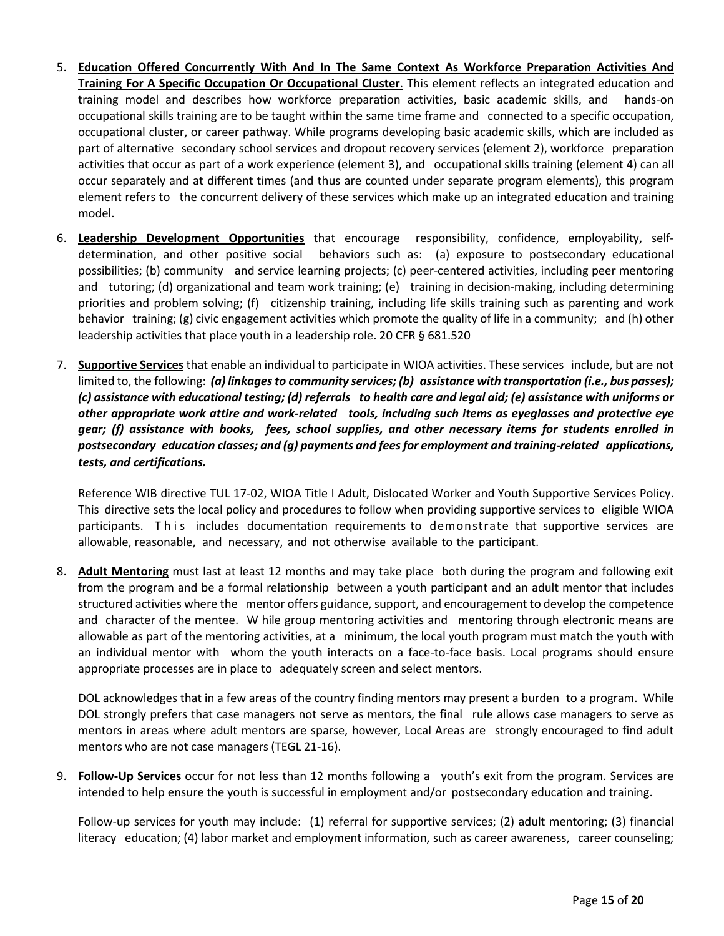- 5. **Education Offered Concurrently With And In The Same Context As Workforce Preparation Activities And Training For A Specific Occupation Or Occupational Cluster**. This element reflects an integrated education and training model and describes how workforce preparation activities, basic academic skills, and hands-on occupational skills training are to be taught within the same time frame and connected to a specific occupation, occupational cluster, or career pathway. While programs developing basic academic skills, which are included as part of alternative secondary school services and dropout recovery services (element 2), workforce preparation activities that occur as part of a work experience (element 3), and occupational skills training (element 4) can all occur separately and at different times (and thus are counted under separate program elements), this program element refers to the concurrent delivery of these services which make up an integrated education and training model.
- 6. **Leadership Development Opportunities** that encourage responsibility, confidence, employability, selfdetermination, and other positive social behaviors such as: (a) exposure to postsecondary educational possibilities; (b) community and service learning projects; (c) peer-centered activities, including peer mentoring and tutoring; (d) organizational and team work training; (e) training in decision-making, including determining priorities and problem solving; (f) citizenship training, including life skills training such as parenting and work behavior training; (g) civic engagement activities which promote the quality of life in a community; and (h) other leadership activities that place youth in a leadership role. 20 CFR § 681.520
- 7. **Supportive Services** that enable an individual to participate in WIOA activities. These services include, but are not limited to, the following: *(a) linkagesto community services; (b) assistance with transportation (i.e., bus passes); (c) assistance with educational testing; (d) referrals to health care and legal aid; (e) assistance with uniforms or other appropriate work attire and work-related tools, including such items as eyeglasses and protective eye gear; (f) assistance with books, fees, school supplies, and other necessary items for students enrolled in postsecondary education classes; and (g) payments and feesfor employment and training-related applications, tests, and certifications.*

Reference WIB directive TUL 17-02, WIOA Title I Adult, Dislocated Worker and Youth Supportive Services Policy. This directive sets the local policy and procedures to follow when providing supportive services to eligible WIOA participants. This includes documentation requirements to demonstrate that supportive services are allowable, reasonable, and necessary, and not otherwise available to the participant.

8. **Adult Mentoring** must last at least 12 months and may take place both during the program and following exit from the program and be a formal relationship between a youth participant and an adult mentor that includes structured activities where the mentor offers guidance, support, and encouragement to develop the competence and character of the mentee. W hile group mentoring activities and mentoring through electronic means are allowable as part of the mentoring activities, at a minimum, the local youth program must match the youth with an individual mentor with whom the youth interacts on a face-to-face basis. Local programs should ensure appropriate processes are in place to adequately screen and select mentors.

DOL acknowledges that in a few areas of the country finding mentors may present a burden to a program. While DOL strongly prefers that case managers not serve as mentors, the final rule allows case managers to serve as mentors in areas where adult mentors are sparse, however, Local Areas are strongly encouraged to find adult mentors who are not case managers (TEGL 21-16).

9. **Follow-Up Services** occur for not less than 12 months following a youth's exit from the program. Services are intended to help ensure the youth is successful in employment and/or postsecondary education and training.

Follow-up services for youth may include: (1) referral for supportive services; (2) adult mentoring; (3) financial literacy education; (4) labor market and employment information, such as career awareness, career counseling;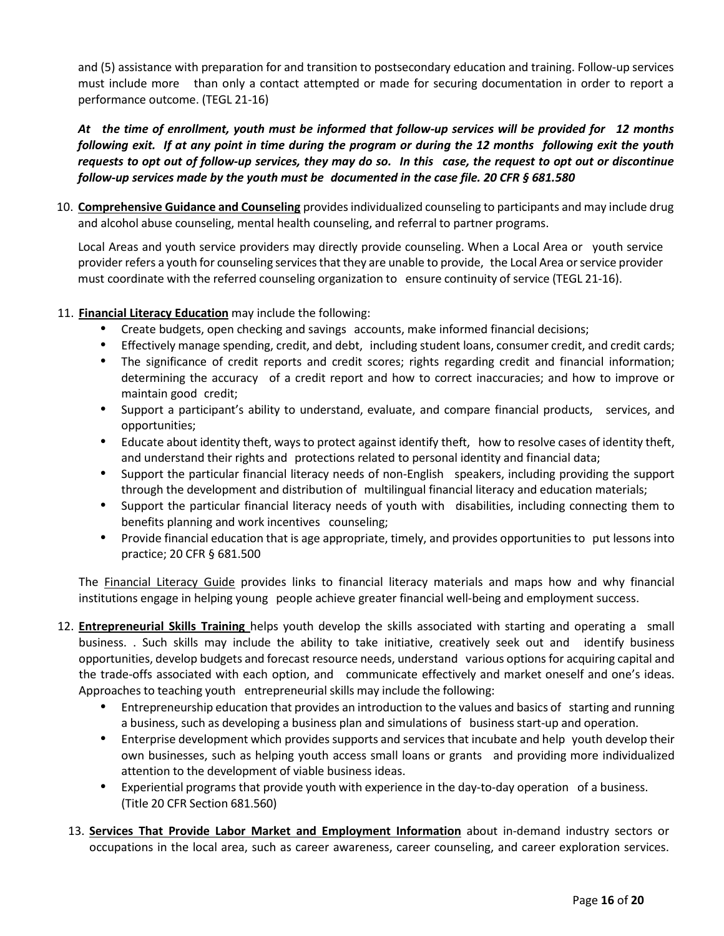and (5) assistance with preparation for and transition to postsecondary education and training. Follow-up services must include more than only a contact attempted or made for securing documentation in order to report a performance outcome. (TEGL 21-16)

*At the time of enrollment, youth must be informed that follow-up services will be provided for 12 months following exit. If at any point in time during the program or during the 12 months following exit the youth requests to opt out of follow-up services, they may do so. In this case, the request to opt out or discontinue follow-up services made by the youth must be documented in the case file. 20 CFR § 681.580*

10. **Comprehensive Guidance and Counseling** providesindividualized counseling to participants and may include drug and alcohol abuse counseling, mental health counseling, and referral to partner programs.

Local Areas and youth service providers may directly provide counseling. When a Local Area or youth service provider refers a youth for counseling services that they are unable to provide, the Local Area or service provider must coordinate with the referred counseling organization to ensure continuity of service (TEGL 21-16).

## 11. **Financial Literacy Education** may include the following:

- Create budgets, open checking and savings accounts, make informed financial decisions;
- Effectively manage spending, credit, and debt, including student loans, consumer credit, and credit cards;
- The significance of credit reports and credit scores; rights regarding credit and financial information; determining the accuracy of a credit report and how to correct inaccuracies; and how to improve or maintain good credit;
- Support a participant's ability to understand, evaluate, and compare financial products, services, and opportunities;
- Educate about identity theft, ways to protect against identify theft, how to resolve cases of identity theft, and understand their rights and protections related to personal identity and financial data;
- Support the particular financial literacy needs of non-English speakers, including providing the support through the development and distribution of multilingual financial literacy and education materials;
- Support the particular financial literacy needs of youth with disabilities, including connecting them to benefits planning and work incentives counseling;
- Provide financial education that is age appropriate, timely, and provides opportunities to put lessons into practice; 20 CFR § 681.500

The [Financial Literacy Guide](https://www.treasury.gov/resource-center/financial-education/SiteAssets/Pages/flec11032016/Resource%20Guide%20for%20Financial%20Institutions_FLEC%20D11%202%2016.pdf) provides links to financial literacy materials and maps how and why financial institutions engage in helping young people achieve greater financial well-being and employment success.

- 12. **Entrepreneurial Skills Training** helps youth develop the skills associated with starting and operating a small business. . Such skills may include the ability to take initiative, creatively seek out and identify business opportunities, develop budgets and forecast resource needs, understand various options for acquiring capital and the trade-offs associated with each option, and communicate effectively and market oneself and one's ideas. Approaches to teaching youth entrepreneurialskills may include the following:
	- Entrepreneurship education that provides an introduction to the values and basics of starting and running a business, such as developing a business plan and simulations of business start-up and operation.
	- Enterprise development which provides supports and services that incubate and help youth develop their own businesses, such as helping youth access small loans or grants and providing more individualized attention to the development of viable business ideas.
	- Experiential programs that provide youth with experience in the day-to-day operation of a business. (Title 20 CFR Section 681.560)
	- 13. **Services That Provide Labor Market and Employment Information** about in-demand industry sectors or occupations in the local area, such as career awareness, career counseling, and career exploration services.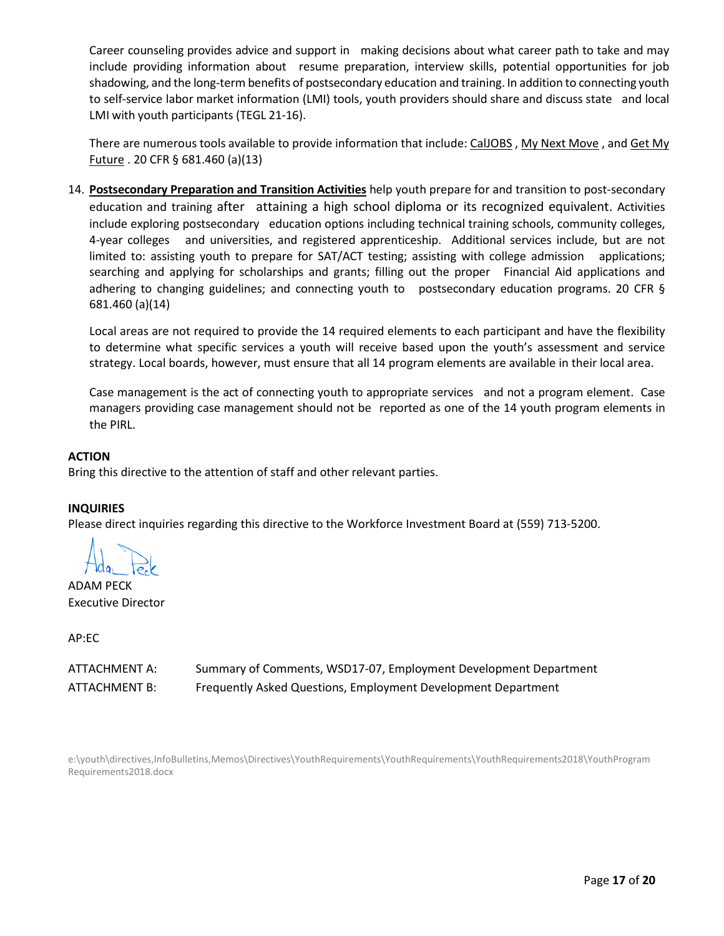Career counseling provides advice and support in making decisions about what career path to take and may include providing information about resume preparation, interview skills, potential opportunities for job shadowing, and the long-term benefits of postsecondary education and training. In addition to connecting youth to self-service labor market information (LMI) tools, youth providers should share and discuss state and local LMI with youth participants (TEGL 21-16).

There are numerous tools available to provide information that include: [CalJOBS](https://www.caljobs.ca.gov/vosnet/Default.aspx)[, My Next Move](https://www.mynextmove.org/), and Get My [Future](https://www.careeronestop.org/GetMyFuture/default.aspx?frd=true) . 20 CFR § 681.460 (a)(13)

14. **Postsecondary Preparation and Transition Activities** help youth prepare for and transition to post-secondary education and training after attaining a high school diploma or its recognized equivalent. Activities include exploring postsecondary education options including technical training schools, community colleges, 4-year colleges and universities, and registered apprenticeship. Additional services include, but are not limited to: assisting youth to prepare for SAT/ACT testing; assisting with college admission applications; searching and applying for scholarships and grants; filling out the proper Financial Aid applications and adhering to changing guidelines; and connecting youth to postsecondary education programs. 20 CFR § 681.460 (a)(14)

Local areas are not required to provide the 14 required elements to each participant and have the flexibility to determine what specific services a youth will receive based upon the youth's assessment and service strategy. Local boards, however, must ensure that all 14 program elements are available in their local area.

Case management is the act of connecting youth to appropriate services and not a program element. Case managers providing case management should not be reported as one of the 14 youth program elements in the PIRL.

## **ACTION**

Bring this directive to the attention of staff and other relevant parties.

## **INQUIRIES**

Please direct inquiries regarding this directive to the Workforce Investment Board at (559) 713-5200.

ADAM PECK Executive Director

AP:EC

| ATTACHMENT A: | Summary of Comments, WSD17-07, Employment Development Department |
|---------------|------------------------------------------------------------------|
| ATTACHMENT B: | Frequently Asked Questions, Employment Development Department    |

e:\youth\directives,InfoBulletins,Memos\Directives\YouthRequirements\YouthRequirements\YouthRequirements2018\YouthProgram Requirements2018.docx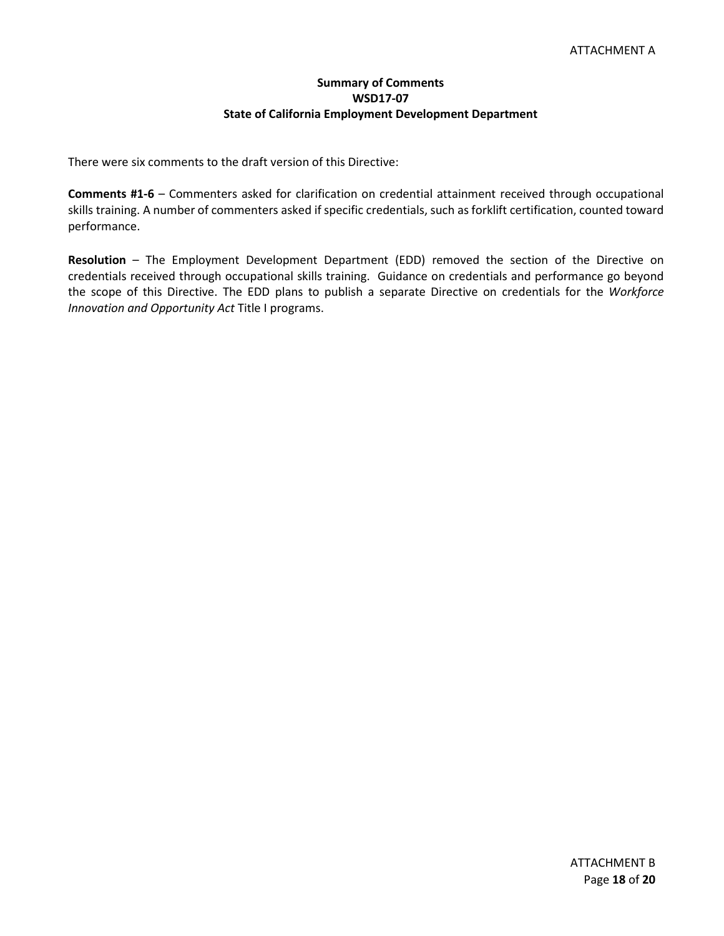## **Summary of Comments WSD17-07 State of California Employment Development Department**

There were six comments to the draft version of this Directive:

**Comments #1-6** – Commenters asked for clarification on credential attainment received through occupational skills training. A number of commenters asked if specific credentials, such as forklift certification, counted toward performance.

**Resolution** – The Employment Development Department (EDD) removed the section of the Directive on credentials received through occupational skills training. Guidance on credentials and performance go beyond the scope of this Directive. The EDD plans to publish a separate Directive on credentials for the *Workforce Innovation and Opportunity Act* Title I programs.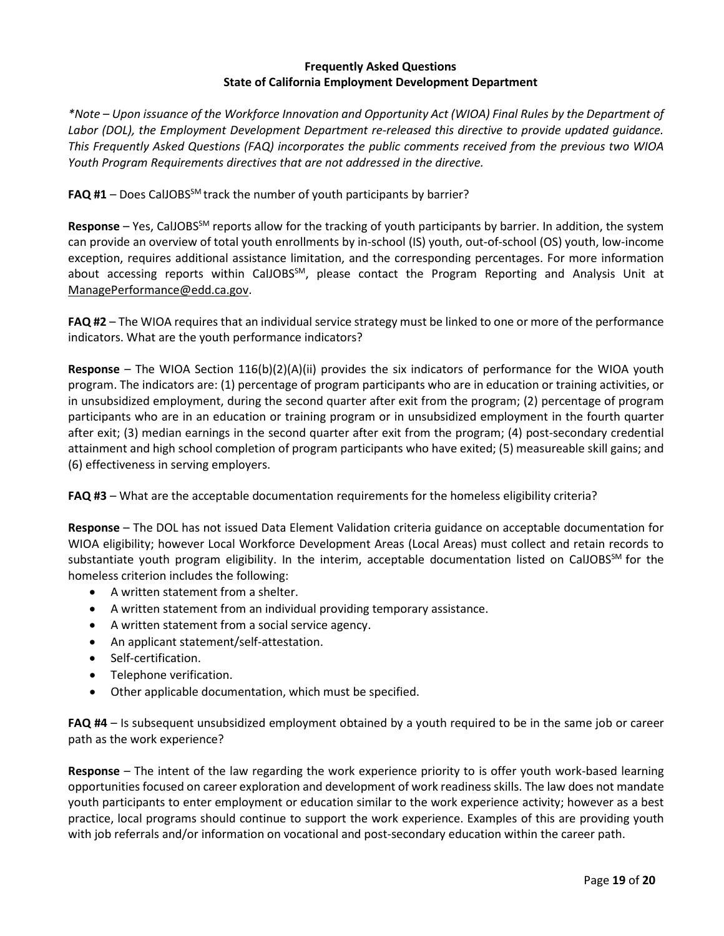### **Frequently Asked Questions State of California Employment Development Department**

*\*Note – Upon issuance of the Workforce Innovation and Opportunity Act (WIOA) Final Rules by the Department of Labor (DOL), the Employment Development Department re-released this directive to provide updated guidance. This Frequently Asked Questions (FAQ) incorporates the public comments received from the previous two WIOA Youth Program Requirements directives that are not addressed in the directive.*

FAQ #1 – Does CalJOBS<sup>SM</sup> track the number of youth participants by barrier?

**Response** – Yes, CalJOBSSM reports allow for the tracking of youth participants by barrier. In addition, the system can provide an overview of total youth enrollments by in-school (IS) youth, out-of-school (OS) youth, low-income exception, requires additional assistance limitation, and the corresponding percentages. For more information about accessing reports within CalJOBS<sup>SM</sup>, please contact the Program Reporting and Analysis Unit at [ManagePerformance@edd.ca.gov.](mailto:ManagePerformance@edd.ca.gov)

**FAQ #2** – The WIOA requires that an individual service strategy must be linked to one or more of the performance indicators. What are the youth performance indicators?

**Response** – The WIOA Section 116(b)(2)(A)(ii) provides the six indicators of performance for the WIOA youth program. The indicators are: (1) percentage of program participants who are in education or training activities, or in unsubsidized employment, during the second quarter after exit from the program; (2) percentage of program participants who are in an education or training program or in unsubsidized employment in the fourth quarter after exit; (3) median earnings in the second quarter after exit from the program; (4) post-secondary credential attainment and high school completion of program participants who have exited; (5) measureable skill gains; and (6) effectiveness in serving employers.

**FAQ #3** – What are the acceptable documentation requirements for the homeless eligibility criteria?

**Response** – The DOL has not issued Data Element Validation criteria guidance on acceptable documentation for WIOA eligibility; however Local Workforce Development Areas (Local Areas) must collect and retain records to substantiate youth program eligibility. In the interim, acceptable documentation listed on CalJOBS<sup>SM</sup> for the homeless criterion includes the following:

- A written statement from a shelter.
- A written statement from an individual providing temporary assistance.
- A written statement from a social service agency.
- An applicant statement/self-attestation.
- Self-certification.
- Telephone verification.
- Other applicable documentation, which must be specified.

**FAQ #4** – Is subsequent unsubsidized employment obtained by a youth required to be in the same job or career path as the work experience?

**Response** – The intent of the law regarding the work experience priority to is offer youth work-based learning opportunities focused on career exploration and development of work readiness skills. The law does not mandate youth participants to enter employment or education similar to the work experience activity; however as a best practice, local programs should continue to support the work experience. Examples of this are providing youth with job referrals and/or information on vocational and post-secondary education within the career path.